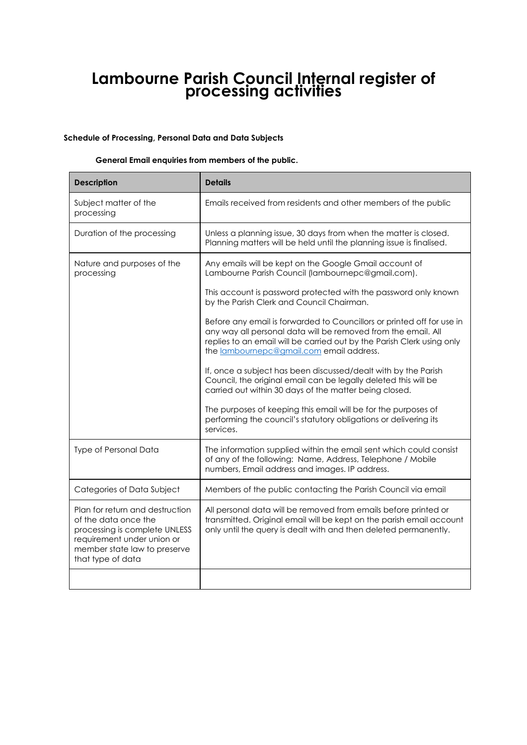# **Lambourne Parish Council Internal register of processing activities**

#### **Schedule of Processing, Personal Data and Data Subjects**

#### **General Email enquiries from members of the public.**

| <b>Description</b>                                                                                                                                                          | <b>Details</b>                                                                                                                                                                                                                                                |
|-----------------------------------------------------------------------------------------------------------------------------------------------------------------------------|---------------------------------------------------------------------------------------------------------------------------------------------------------------------------------------------------------------------------------------------------------------|
| Subject matter of the<br>processing                                                                                                                                         | Emails received from residents and other members of the public                                                                                                                                                                                                |
| Duration of the processing                                                                                                                                                  | Unless a planning issue, 30 days from when the matter is closed.<br>Planning matters will be held until the planning issue is finalised.                                                                                                                      |
| Nature and purposes of the<br>processing                                                                                                                                    | Any emails will be kept on the Google Gmail account of<br>Lambourne Parish Council (lambournepc@gmail.com).                                                                                                                                                   |
|                                                                                                                                                                             | This account is password protected with the password only known<br>by the Parish Clerk and Council Chairman.                                                                                                                                                  |
|                                                                                                                                                                             | Before any email is forwarded to Councillors or printed off for use in<br>any way all personal data will be removed from the email. All<br>replies to an email will be carried out by the Parish Clerk using only<br>the lambournepc@gmail.com email address. |
|                                                                                                                                                                             | If, once a subject has been discussed/dealt with by the Parish<br>Council, the original email can be legally deleted this will be<br>carried out within 30 days of the matter being closed.                                                                   |
|                                                                                                                                                                             | The purposes of keeping this email will be for the purposes of<br>performing the council's statutory obligations or delivering its<br>services.                                                                                                               |
| Type of Personal Data                                                                                                                                                       | The information supplied within the email sent which could consist<br>of any of the following: Name, Address, Telephone / Mobile<br>numbers, Email address and images. IP address.                                                                            |
| Categories of Data Subject                                                                                                                                                  | Members of the public contacting the Parish Council via email                                                                                                                                                                                                 |
| Plan for return and destruction<br>of the data once the<br>processing is complete UNLESS<br>requirement under union or<br>member state law to preserve<br>that type of data | All personal data will be removed from emails before printed or<br>transmitted. Original email will be kept on the parish email account<br>only until the query is dealt with and then deleted permanently.                                                   |
|                                                                                                                                                                             |                                                                                                                                                                                                                                                               |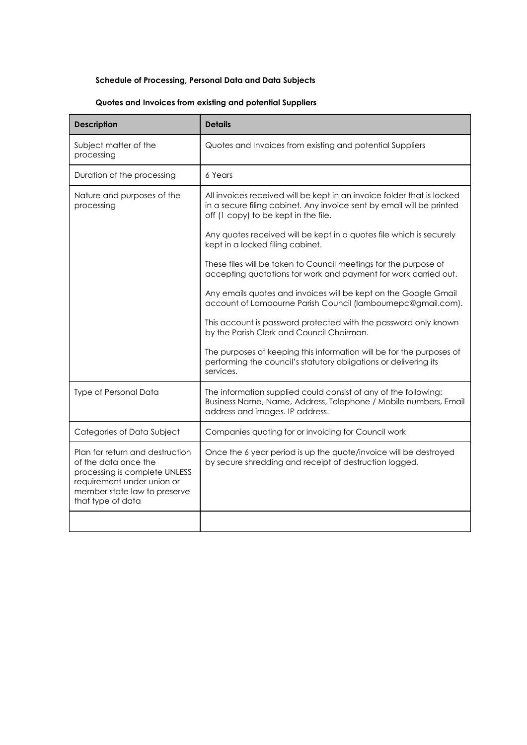### **Schedule of Processing, Personal Data and Data Subjects**

## **Quotes and Invoices from existing and potential Suppliers**

| <b>Description</b>                                                                                                                                                          | <b>Details</b>                                                                                                                                                                          |
|-----------------------------------------------------------------------------------------------------------------------------------------------------------------------------|-----------------------------------------------------------------------------------------------------------------------------------------------------------------------------------------|
| Subject matter of the<br>processing                                                                                                                                         | Quotes and Invoices from existing and potential Suppliers                                                                                                                               |
| Duration of the processing                                                                                                                                                  | 6 Years                                                                                                                                                                                 |
| Nature and purposes of the<br>processing                                                                                                                                    | All invoices received will be kept in an invoice folder that is locked<br>in a secure filing cabinet. Any invoice sent by email will be printed<br>off (1 copy) to be kept in the file. |
|                                                                                                                                                                             | Any quotes received will be kept in a quotes file which is securely<br>kept in a locked filing cabinet.                                                                                 |
|                                                                                                                                                                             | These files will be taken to Council meetings for the purpose of<br>accepting quotations for work and payment for work carried out.                                                     |
|                                                                                                                                                                             | Any emails quotes and invoices will be kept on the Google Gmail<br>account of Lambourne Parish Council (lambournepc@gmail.com).                                                         |
|                                                                                                                                                                             | This account is password protected with the password only known<br>by the Parish Clerk and Council Chairman.                                                                            |
|                                                                                                                                                                             | The purposes of keeping this information will be for the purposes of<br>performing the council's statutory obligations or delivering its<br>services.                                   |
| <b>Type of Personal Data</b>                                                                                                                                                | The information supplied could consist of any of the following:<br>Business Name, Name, Address, Telephone / Mobile numbers, Email<br>address and images. IP address.                   |
| Categories of Data Subject                                                                                                                                                  | Companies quoting for or invoicing for Council work                                                                                                                                     |
| Plan for return and destruction<br>of the data once the<br>processing is complete UNLESS<br>requirement under union or<br>member state law to preserve<br>that type of data | Once the 6 year period is up the quote/invoice will be destroyed<br>by secure shredding and receipt of destruction logged.                                                              |
|                                                                                                                                                                             |                                                                                                                                                                                         |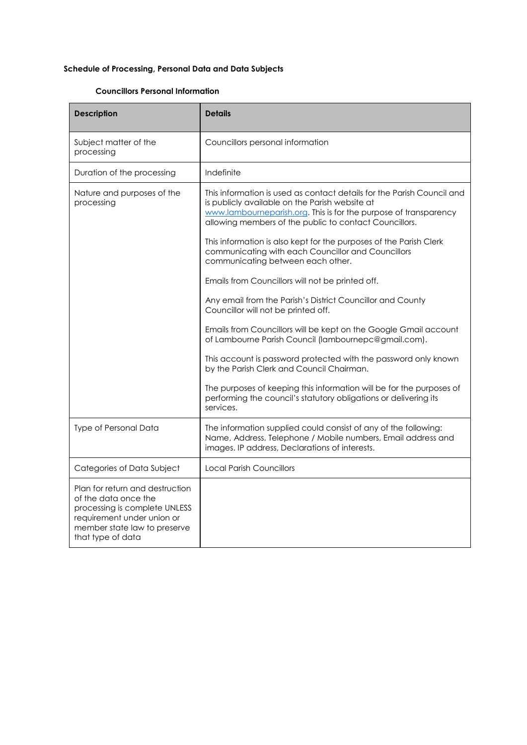# **Schedule of Processing, Personal Data and Data Subjects**

### **Councillors Personal Information**

| <b>Description</b>                                                                                                                                                          | <b>Details</b>                                                                                                                                                                                                                                         |
|-----------------------------------------------------------------------------------------------------------------------------------------------------------------------------|--------------------------------------------------------------------------------------------------------------------------------------------------------------------------------------------------------------------------------------------------------|
| Subject matter of the<br>processing                                                                                                                                         | Councillors personal information                                                                                                                                                                                                                       |
| Duration of the processing                                                                                                                                                  | Indefinite                                                                                                                                                                                                                                             |
| Nature and purposes of the<br>processing                                                                                                                                    | This information is used as contact details for the Parish Council and<br>is publicly available on the Parish website at<br>www.lambourneparish.org. This is for the purpose of transparency<br>allowing members of the public to contact Councillors. |
|                                                                                                                                                                             | This information is also kept for the purposes of the Parish Clerk<br>communicating with each Councillor and Councillors<br>communicating between each other.                                                                                          |
|                                                                                                                                                                             | Emails from Councillors will not be printed off.                                                                                                                                                                                                       |
|                                                                                                                                                                             | Any email from the Parish's District Councillor and County<br>Councillor will not be printed off.                                                                                                                                                      |
|                                                                                                                                                                             | Emails from Councillors will be kept on the Google Gmail account<br>of Lambourne Parish Council (lambournepc@gmail.com).                                                                                                                               |
|                                                                                                                                                                             | This account is password protected with the password only known<br>by the Parish Clerk and Council Chairman.                                                                                                                                           |
|                                                                                                                                                                             | The purposes of keeping this information will be for the purposes of<br>performing the council's statutory obligations or delivering its<br>services.                                                                                                  |
| Type of Personal Data                                                                                                                                                       | The information supplied could consist of any of the following:<br>Name, Address, Telephone / Mobile numbers, Email address and<br>images. IP address, Declarations of interests.                                                                      |
| Categories of Data Subject                                                                                                                                                  | <b>Local Parish Councillors</b>                                                                                                                                                                                                                        |
| Plan for return and destruction<br>of the data once the<br>processing is complete UNLESS<br>requirement under union or<br>member state law to preserve<br>that type of data |                                                                                                                                                                                                                                                        |